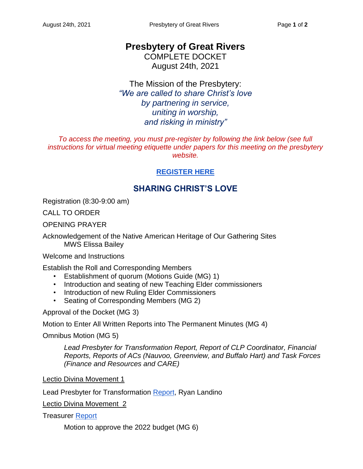# **Presbytery of Great Rivers**

COMPLETE DOCKET August 24th, 2021

The Mission of the Presbytery: *"We are called to share Christ's love by partnering in service, uniting in worship, and risking in ministry"*

*To access the meeting, you must pre-register by following the link below (see full instructions for virtual meeting etiquette under papers for this meeting on the presbytery website.*

### **[REGISTER HERE](https://r20.rs6.net/tn.jsp?f=001fr0rAwE5AKUm7s5VXQlwuJjF5bED2-DtnoKyU91K7qEE23elsEdIaJcaHkouCnkBarLYwCLmodHBpQV2dB-UxqM4uYwswusXONHnUpNyU3O5D1huCtLTbP8M-1m735IXqniyX3oVeLs9GvJ2jGCSoqC7oLzBQNItC76uGdYgM79agPC8iqpBc7eVZoiZMs3DbdwEm4_h7FBNflKdvH6wtGbnvE1bMo6I&c=sBvJczzajWg8NUr91yPSsanu0nefpYadAutnmC4cVeOxr6zXX-VnYQ==&ch=buTv5rHi_qvD47klvtHC5lcvklnEexsZ7ZktgkJgvYKTxxBFN4Ee2Q==)**

## **SHARING CHRIST'S LOVE**

Registration (8:30-9:00 am)

CALL TO ORDER

OPENING PRAYER

Acknowledgement of the Native American Heritage of Our Gathering Sites MWS Elissa Bailey

Welcome and Instructions

Establish the Roll and Corresponding Members

- Establishment of quorum (Motions Guide (MG) 1)
- Introduction and seating of new Teaching Elder commissioners
- Introduction of new Ruling Elder Commissioners
- Seating of Corresponding Members (MG 2)

Approval of the Docket (MG 3)

Motion to Enter All Written Reports into The Permanent Minutes (MG 4)

Omnibus Motion (MG 5)

*Lead Presbyter for Transformation Report, Report of CLP Coordinator, Financial Reports, Reports of ACs (Nauvoo, Greenview, and Buffalo Hart) and Task Forces (Finance and Resources and CARE)*

Lectio Divina Movement 1

Lead Presbyter for Transformation [Report,](http://www.greatriverspby.org/uploads/2/4/5/6/24561669/lpt_report_august_20_2021.pdf) Ryan Landino

Lectio Divina Movement 2

Treasurer [Report](http://www.greatriverspby.org/uploads/2/4/5/6/24561669/financials_08-24-21.pdf) 

Motion to approve the 2022 budget (MG 6)